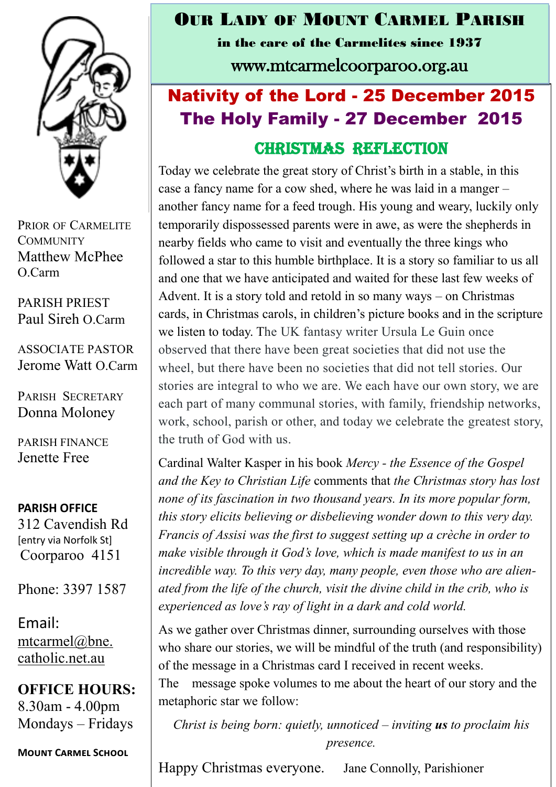

PRIOR OF CARMELITE **COMMUNITY** Matthew McPhee O.Carm

PARISH PRIEST Paul Sireh O.Carm

ASSOCIATE PASTOR Jerome Watt O.Carm

PARISH SECRETARY Donna Moloney

PARISH FINANCE Jenette Free

**PARISH OFFICE**

312 Cavendish Rd [entry via Norfolk St] Coorparoo 4151

Phone: 3397 1587

Email: mtcarmel@bne. [catholic.net.au](mailto:mtcarmel@bne.catholic.net.au)

**OFFICE HOURS:**  8.30am - 4.00pm Mondays – Fridays

**Mount Carmel School**

## OUR LADY OF MOUNT CARMEL PARISH

in the care of the Carmelites since 1937

www.mtcarmelcoorparoo.org.au

## Nativity of the Lord - 25 December 2015 The Holy Family - 27 December 2015 Christmas Reflection

Today we celebrate the great story of Christ's birth in a stable, in this case a fancy name for a cow shed, where he was laid in a manger – another fancy name for a feed trough. His young and weary, luckily only temporarily dispossessed parents were in awe, as were the shepherds in nearby fields who came to visit and eventually the three kings who followed a star to this humble birthplace. It is a story so familiar to us all and one that we have anticipated and waited for these last few weeks of Advent. It is a story told and retold in so many ways – on Christmas cards, in Christmas carols, in children's picture books and in the scripture we listen to today. The UK fantasy writer Ursula Le Guin once observed that there have been great societies that did not use the wheel, but there have been no societies that did not tell stories. Our stories are integral to who we are. We each have our own story, we are each part of many communal stories, with family, friendship networks, work, school, parish or other, and today we celebrate the greatest story, the truth of God with us.

Cardinal Walter Kasper in his book *Mercy - the Essence of the Gospel and the Key to Christian Life* comments that *the Christmas story has lost none of its fascination in two thousand years. In its more popular form, this story elicits believing or disbelieving wonder down to this very day. Francis of Assisi was the first to suggest setting up a crèche in order to make visible through it God's love, which is made manifest to us in an incredible way. To this very day, many people, even those who are alienated from the life of the church, visit the divine child in the crib, who is experienced as love's ray of light in a dark and cold world.* 

As we gather over Christmas dinner, surrounding ourselves with those who share our stories, we will be mindful of the truth (and responsibility) of the message in a Christmas card I received in recent weeks. The message spoke volumes to me about the heart of our story and the

metaphoric star we follow:

*Christ is being born: quietly, unnoticed – inviting us to proclaim his presence.* 

Happy Christmas everyone. Jane Connolly, Parishioner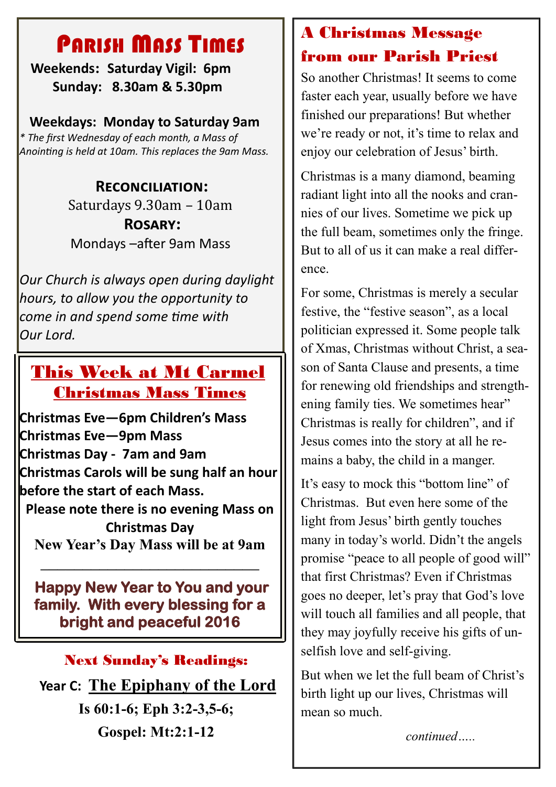# PARISH MASS TIMES

 **Weekends: Saturday Vigil: 6pm Sunday: 8.30am & 5.30pm**

#### **Weekdays: Monday to Saturday 9am**

*\* The first Wednesday of each month, a Mass of Anointing is held at 10am. This replaces the 9am Mass.*

### **Reconciliation:** Saturdays 9.30am – 10am **Rosary:** Mondays –after 9am Mass

*Our Church is always open during daylight hours, to allow you the opportunity to come in and spend some time with Our Lord.*

## This Week at Mt Carmel Christmas Mass Times

**Christmas Eve—6pm Children's Mass Christmas Eve—9pm Mass Christmas Day - 7am and 9am Christmas Carols will be sung half an hour before the start of each Mass. Please note there is no evening Mass on Christmas Day**

**New Year's Day Mass will be at 9am** \_\_\_\_\_\_\_\_\_\_\_\_\_\_\_\_\_\_\_\_\_\_\_\_\_\_

 **Happy New Year to You and your family. With every blessing for a bright and peaceful 2016** 

#### Next Sunday's Readings:

**Year C: The Epiphany of the Lord Is 60:1-6; Eph 3:2-3,5-6; Gospel: Mt:2:1-12**

## A Christmas Message from our Parish Priest

So another Christmas! It seems to come faster each year, usually before we have finished our preparations! But whether we're ready or not, it's time to relax and enjoy our celebration of Jesus' birth.

Christmas is a many diamond, beaming radiant light into all the nooks and crannies of our lives. Sometime we pick up the full beam, sometimes only the fringe. But to all of us it can make a real difference.

For some, Christmas is merely a secular festive, the "festive season", as a local politician expressed it. Some people talk of Xmas, Christmas without Christ, a season of Santa Clause and presents, a time for renewing old friendships and strengthening family ties. We sometimes hear" Christmas is really for children", and if Jesus comes into the story at all he remains a baby, the child in a manger.

It's easy to mock this "bottom line" of Christmas. But even here some of the light from Jesus' birth gently touches many in today's world. Didn't the angels promise "peace to all people of good will" that first Christmas? Even if Christmas goes no deeper, let's pray that God's love will touch all families and all people, that they may joyfully receive his gifts of unselfish love and self-giving.

But when we let the full beam of Christ's birth light up our lives, Christmas will mean so much.

*continued…..*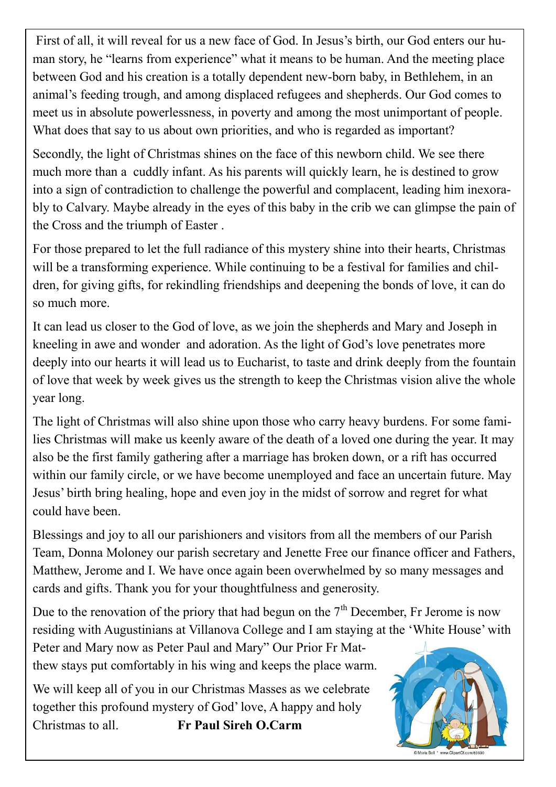First of all, it will reveal for us a new face of God. In Jesus's birth, our God enters our human story, he "learns from experience" what it means to be human. And the meeting place between God and his creation is a totally dependent new-born baby, in Bethlehem, in an animal's feeding trough, and among displaced refugees and shepherds. Our God comes to meet us in absolute powerlessness, in poverty and among the most unimportant of people. What does that say to us about own priorities, and who is regarded as important?

Secondly, the light of Christmas shines on the face of this newborn child. We see there much more than a cuddly infant. As his parents will quickly learn, he is destined to grow into a sign of contradiction to challenge the powerful and complacent, leading him inexorably to Calvary. Maybe already in the eyes of this baby in the crib we can glimpse the pain of the Cross and the triumph of Easter .

For those prepared to let the full radiance of this mystery shine into their hearts, Christmas will be a transforming experience. While continuing to be a festival for families and children, for giving gifts, for rekindling friendships and deepening the bonds of love, it can do so much more.

It can lead us closer to the God of love, as we join the shepherds and Mary and Joseph in kneeling in awe and wonder and adoration. As the light of God's love penetrates more deeply into our hearts it will lead us to Eucharist, to taste and drink deeply from the fountain of love that week by week gives us the strength to keep the Christmas vision alive the whole year long.

The light of Christmas will also shine upon those who carry heavy burdens. For some families Christmas will make us keenly aware of the death of a loved one during the year. It may also be the first family gathering after a marriage has broken down, or a rift has occurred within our family circle, or we have become unemployed and face an uncertain future. May Jesus' birth bring healing, hope and even joy in the midst of sorrow and regret for what could have been.

Blessings and joy to all our parishioners and visitors from all the members of our Parish Team, Donna Moloney our parish secretary and Jenette Free our finance officer and Fathers, Matthew, Jerome and I. We have once again been overwhelmed by so many messages and cards and gifts. Thank you for your thoughtfulness and generosity.

Due to the renovation of the priory that had begun on the  $7<sup>th</sup>$  December, Fr Jerome is now residing with Augustinians at Villanova College and I am staying at the 'White House' with

Peter and Mary now as Peter Paul and Mary" Our Prior Fr Matthew stays put comfortably in his wing and keeps the place warm.

We will keep all of you in our Christmas Masses as we celebrate together this profound mystery of God' love, A happy and holy Christmas to all. **Fr Paul Sireh O.Carm**